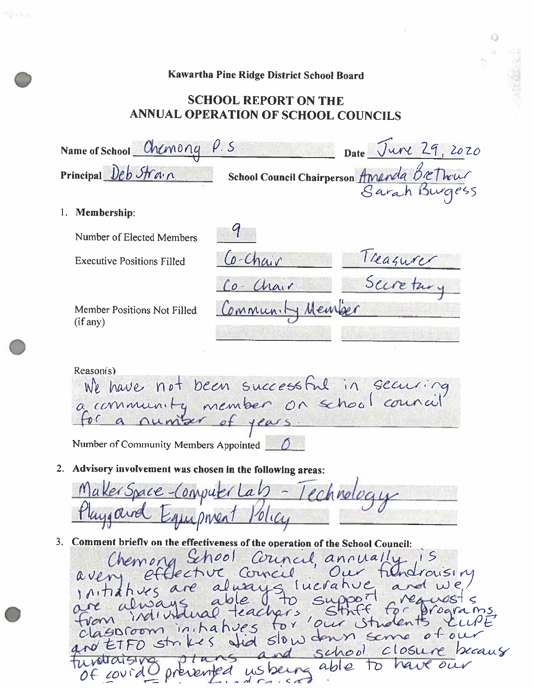## Kawartha Pine Ridge District School Board

 $\mathbf{D}$ a)

Nature.

## **SCHOOL REPORT ON THE** ANNUAL OPERATION OF SCHOOL COUNCILS

| Name of School $Chenong$ $P.S$<br>Date June 29, 2020               |                                                                                                                                          |                  |                                     |  |  |
|--------------------------------------------------------------------|------------------------------------------------------------------------------------------------------------------------------------------|------------------|-------------------------------------|--|--|
| School Council Chairperson Amanda Brethour<br>Principal Deb Strain |                                                                                                                                          |                  |                                     |  |  |
|                                                                    | 1. Membership:                                                                                                                           |                  |                                     |  |  |
|                                                                    | Number of Elected Members                                                                                                                |                  |                                     |  |  |
|                                                                    | <b>Executive Positions Filled</b>                                                                                                        | Co-Chair         | Treasurer                           |  |  |
|                                                                    |                                                                                                                                          | $Co$ - Chair     |                                     |  |  |
|                                                                    | Member Positions Not Filled<br>(if any)                                                                                                  | Community Member |                                     |  |  |
|                                                                    | Reason(s)<br>We have not been successful in securing<br>for a number<br>of $\frac{1}{e}$<br>Number of Community Members Appointed $\Box$ |                  |                                     |  |  |
| 2.                                                                 | Advisory involvement was chosen in the following areas:                                                                                  |                  |                                     |  |  |
|                                                                    | MakerSpace-Computer Lab - Technology                                                                                                     |                  |                                     |  |  |
|                                                                    | Comment briefly on the effectiveness of the operation of the School Council:                                                             |                  | Chemong School Council, annually 15 |  |  |

avent effecture corneil our frendraising<br>initiatives are always lucrative and we<br>are always able to support are wests<br>from invitual teachers strict for program<br>classroom intatives for our strict of our ind school closure because  $ansa$  $5100$ us being able to have prévented of covid  $160$